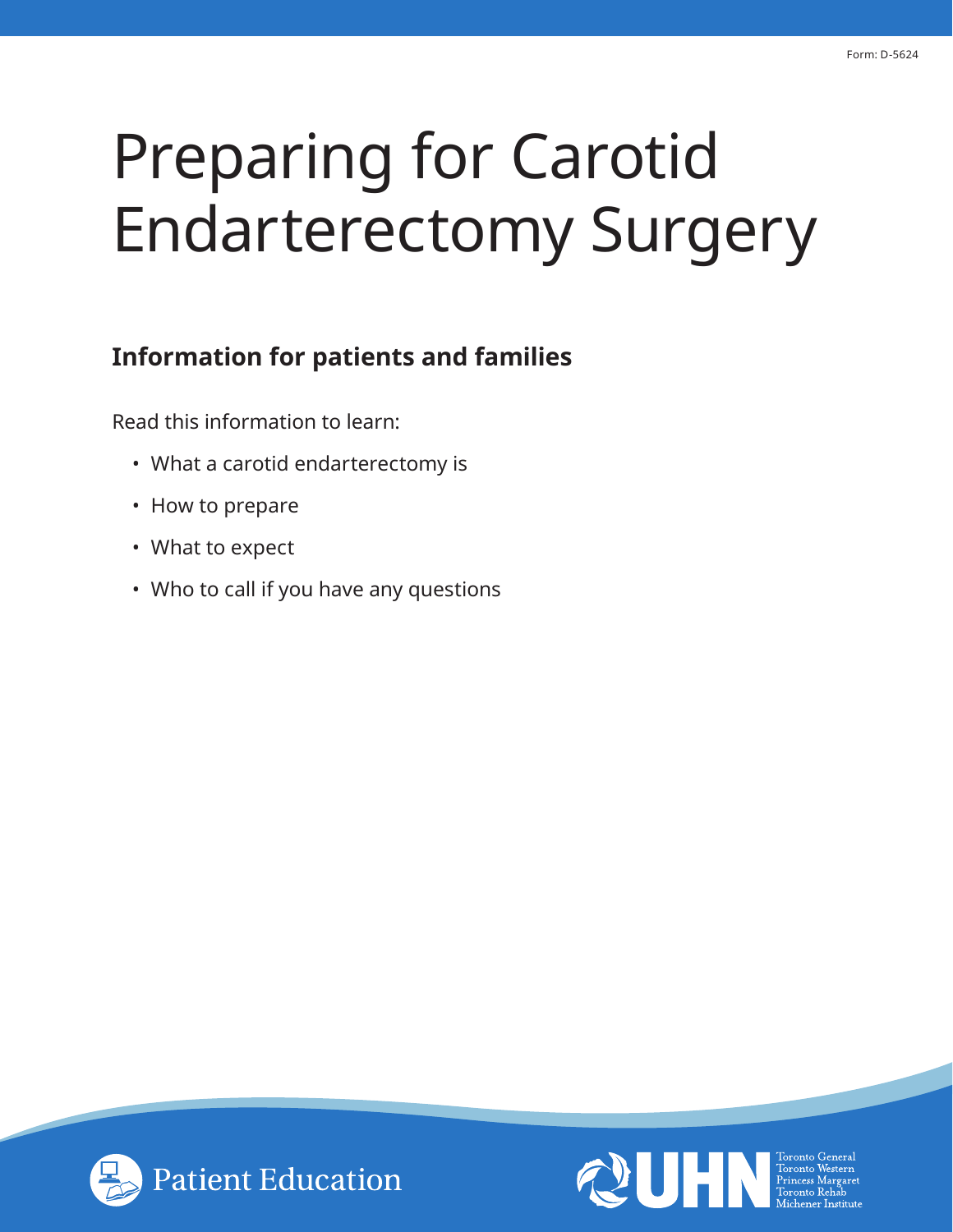# Preparing for Carotid Endarterectomy Surgery

# **Information for patients and families**

Read this information to learn:

- What a carotid endarterectomy is
- How to prepare
- What to expect
- Who to call if you have any questions



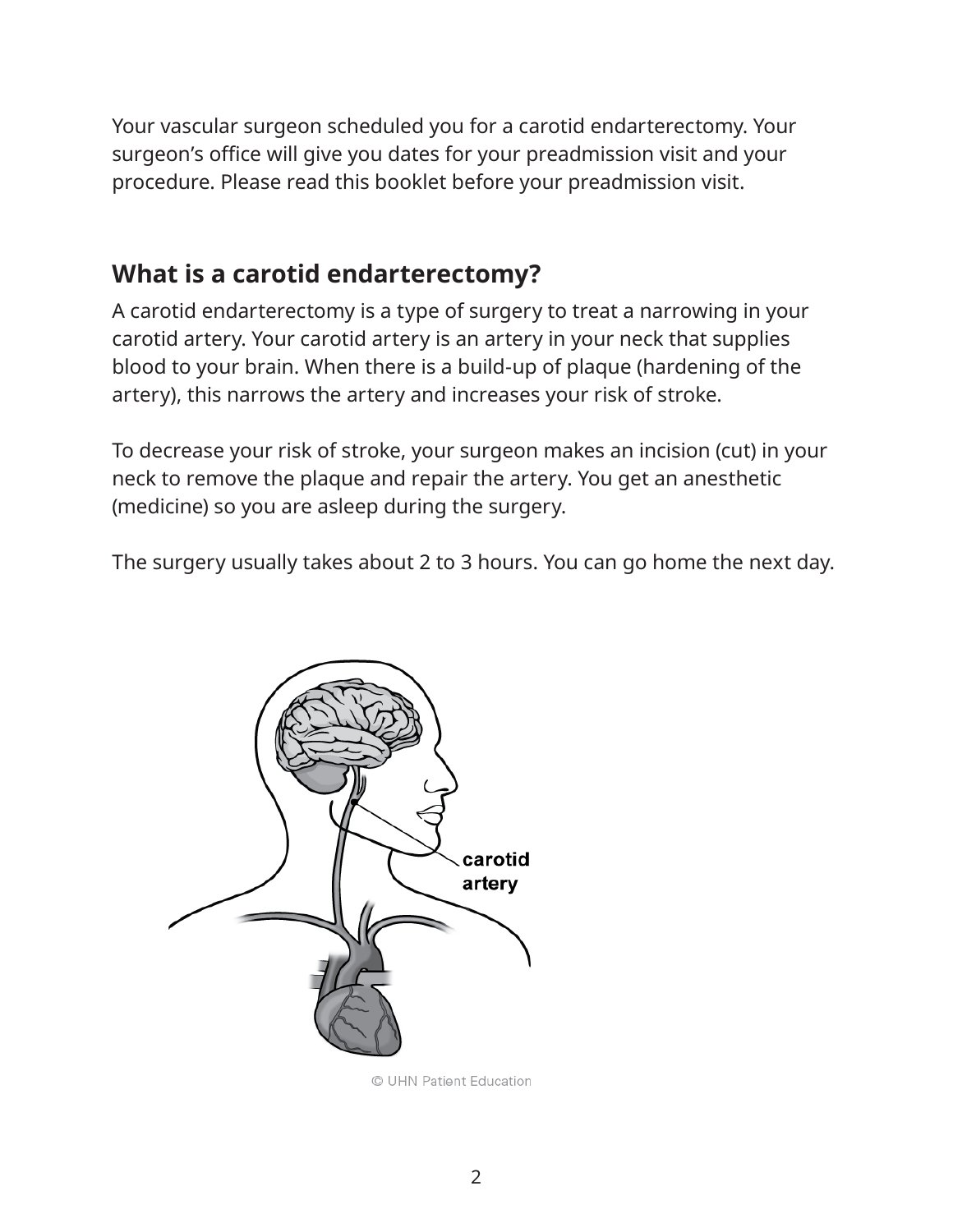Your vascular surgeon scheduled you for a carotid endarterectomy. Your surgeon's office will give you dates for your preadmission visit and your procedure. Please read this booklet before your preadmission visit.

# **What is a carotid endarterectomy?**

A carotid endarterectomy is a type of surgery to treat a narrowing in your carotid artery. Your carotid artery is an artery in your neck that supplies blood to your brain. When there is a build-up of plaque (hardening of the artery), this narrows the artery and increases your risk of stroke.

To decrease your risk of stroke, your surgeon makes an incision (cut) in your neck to remove the plaque and repair the artery. You get an anesthetic (medicine) so you are asleep during the surgery.

The surgery usually takes about 2 to 3 hours. You can go home the next day.



© UHN Patient Education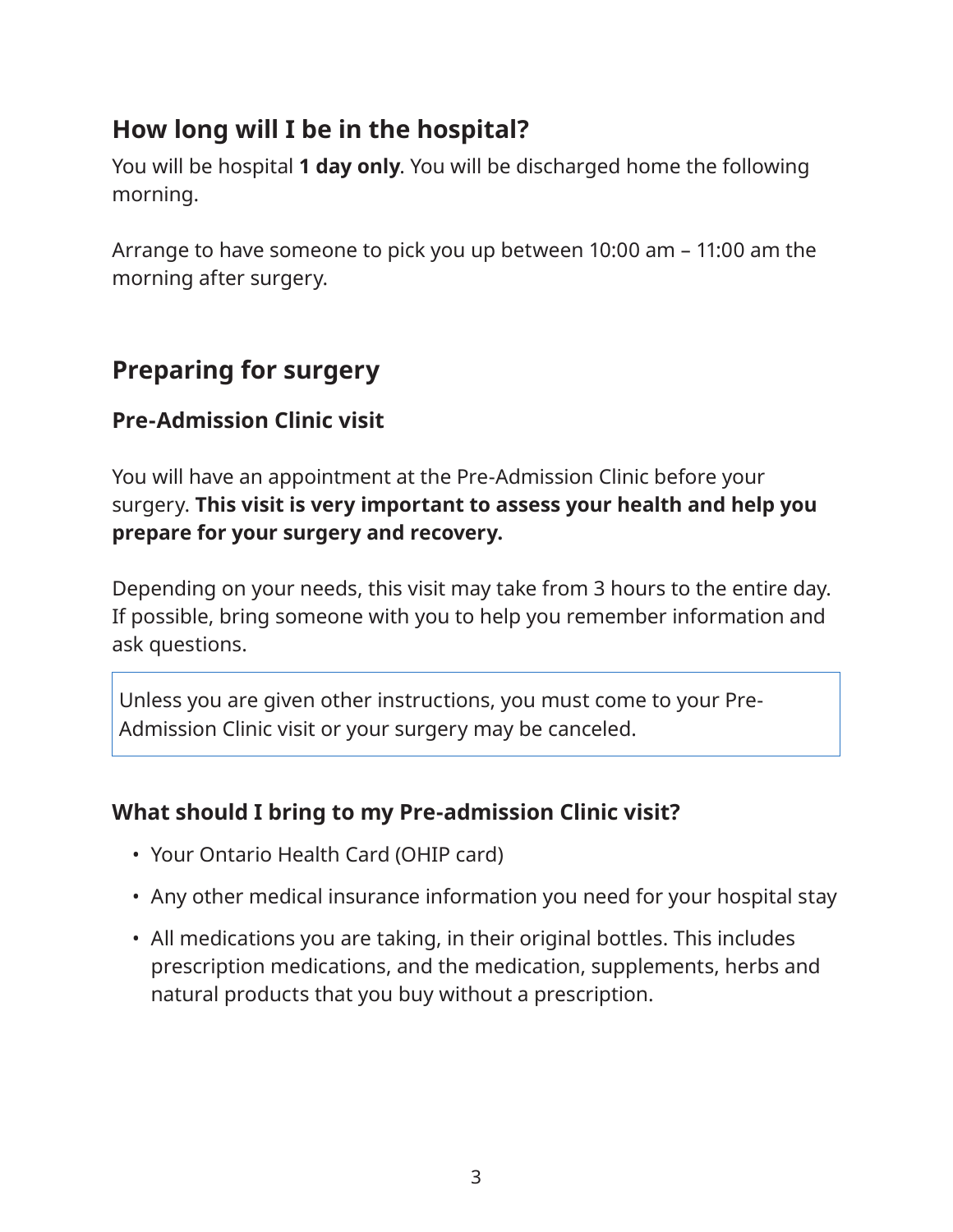# **How long will I be in the hospital?**

You will be hospital **1 day only**. You will be discharged home the following morning.

Arrange to have someone to pick you up between 10:00 am – 11:00 am the morning after surgery.

# **Preparing for surgery**

## **Pre-Admission Clinic visit**

You will have an appointment at the Pre-Admission Clinic before your surgery. **This visit is very important to assess your health and help you prepare for your surgery and recovery.**

Depending on your needs, this visit may take from 3 hours to the entire day. If possible, bring someone with you to help you remember information and ask questions.

Unless you are given other instructions, you must come to your Pre-Admission Clinic visit or your surgery may be canceled.

#### **What should I bring to my Pre-admission Clinic visit?**

- Your Ontario Health Card (OHIP card)
- Any other medical insurance information you need for your hospital stay
- All medications you are taking, in their original bottles. This includes prescription medications, and the medication, supplements, herbs and natural products that you buy without a prescription.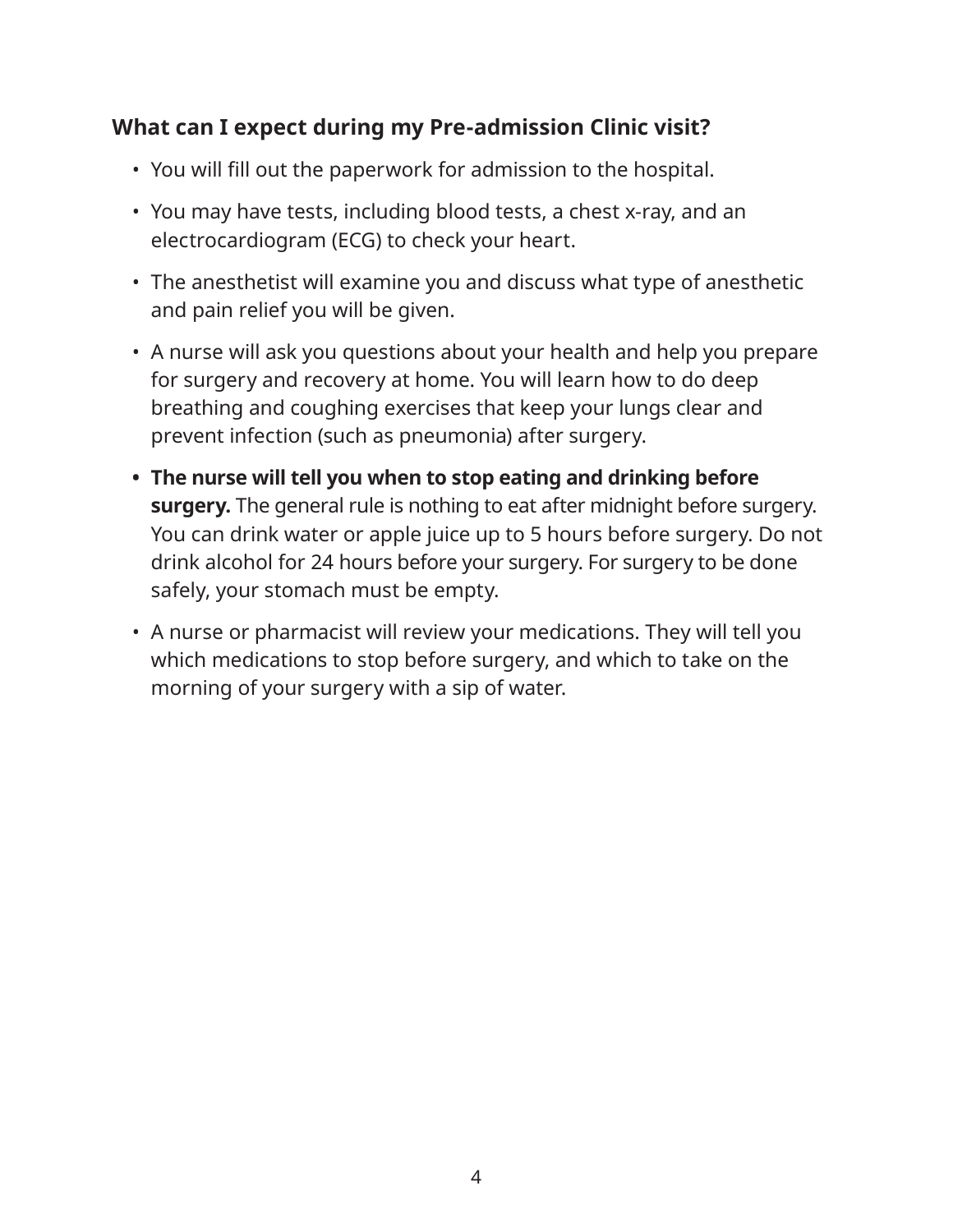#### **What can I expect during my Pre-admission Clinic visit?**

- You will fill out the paperwork for admission to the hospital.
- You may have tests, including blood tests, a chest x-ray, and an electrocardiogram (ECG) to check your heart.
- The anesthetist will examine you and discuss what type of anesthetic and pain relief you will be given.
- A nurse will ask you questions about your health and help you prepare for surgery and recovery at home. You will learn how to do deep breathing and coughing exercises that keep your lungs clear and prevent infection (such as pneumonia) after surgery.
- **• The nurse will tell you when to stop eating and drinking before surgery.** The general rule is nothing to eat after midnight before surgery. You can drink water or apple juice up to 5 hours before surgery. Do not drink alcohol for 24 hours before your surgery. For surgery to be done safely, your stomach must be empty.
- A nurse or pharmacist will review your medications. They will tell you which medications to stop before surgery, and which to take on the morning of your surgery with a sip of water.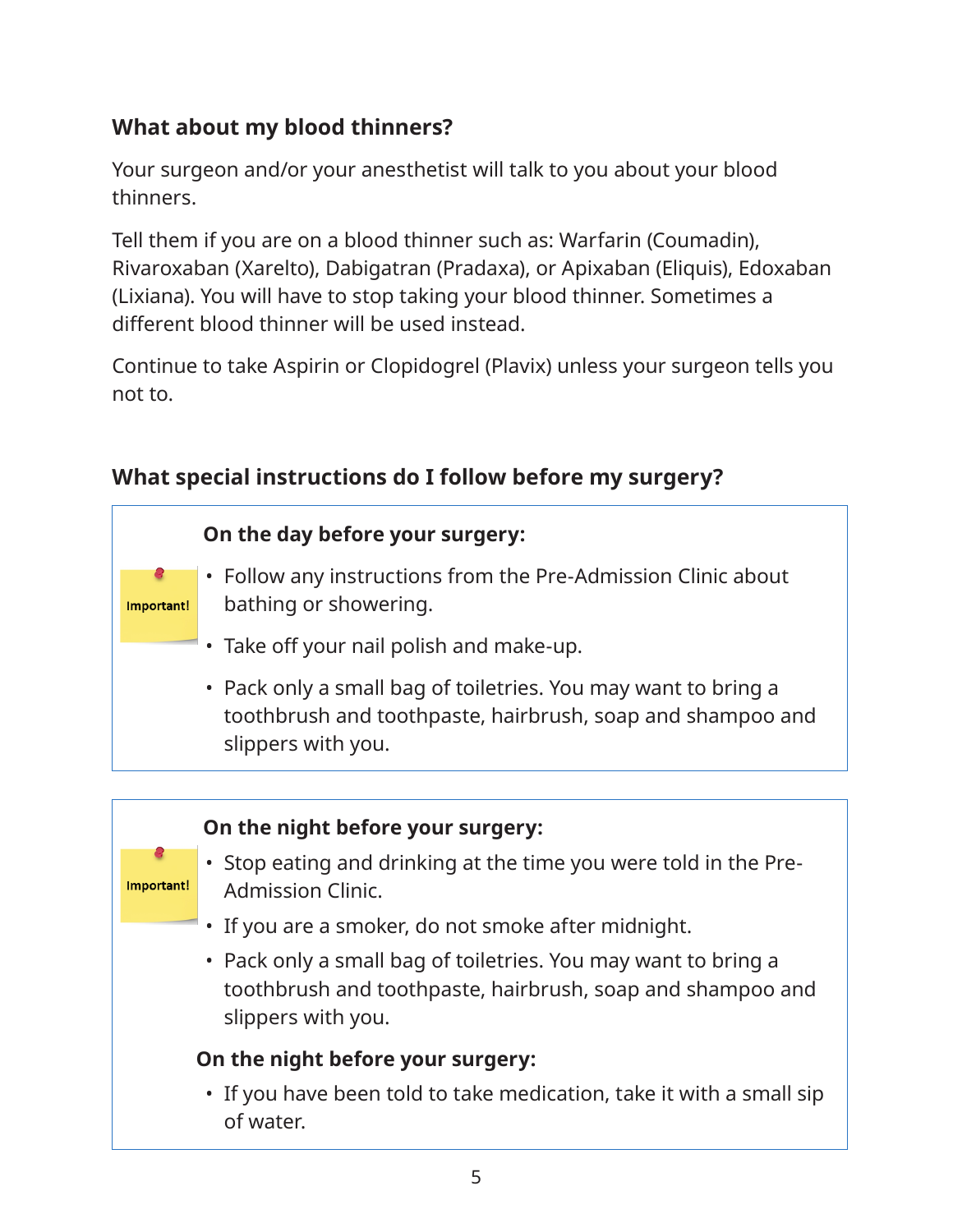# **What about my blood thinners?**

Your surgeon and/or your anesthetist will talk to you about your blood thinners.

Tell them if you are on a blood thinner such as: Warfarin (Coumadin), Rivaroxaban (Xarelto), Dabigatran (Pradaxa), or Apixaban (Eliquis), Edoxaban (Lixiana). You will have to stop taking your blood thinner. Sometimes a different blood thinner will be used instead.

Continue to take Aspirin or Clopidogrel (Plavix) unless your surgeon tells you not to.





# **What special instructions do I follow before my surgery?**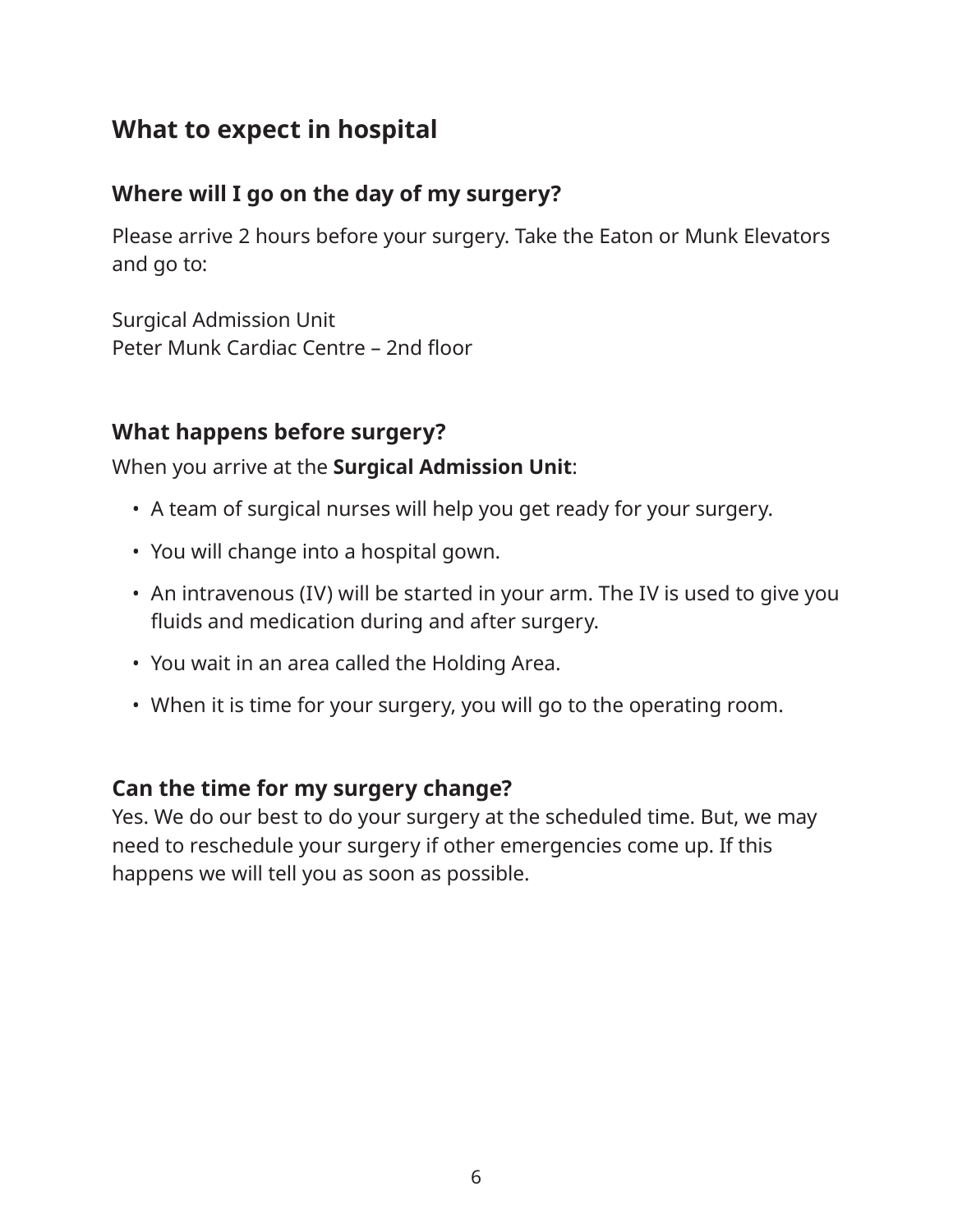# **What to expect in hospital**

## **Where will I go on the day of my surgery?**

Please arrive 2 hours before your surgery. Take the Eaton or Munk Elevators and go to:

Surgical Admission Unit Peter Munk Cardiac Centre – 2nd floor

#### **What happens before surgery?**

When you arrive at the **Surgical Admission Unit**:

- A team of surgical nurses will help you get ready for your surgery.
- You will change into a hospital gown.
- An intravenous (IV) will be started in your arm. The IV is used to give you fluids and medication during and after surgery.
- You wait in an area called the Holding Area.
- When it is time for your surgery, you will go to the operating room.

#### **Can the time for my surgery change?**

Yes. We do our best to do your surgery at the scheduled time. But, we may need to reschedule your surgery if other emergencies come up. If this happens we will tell you as soon as possible.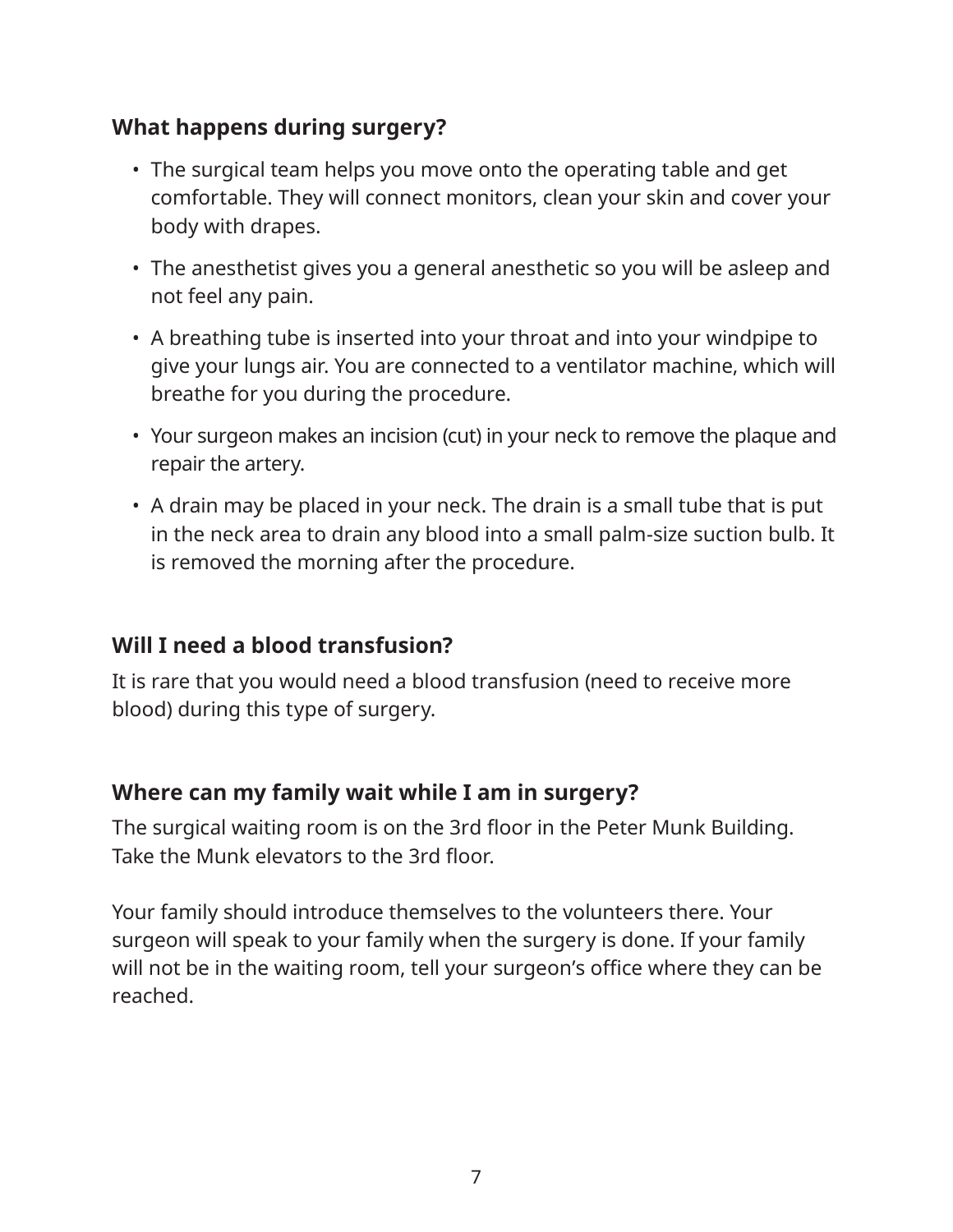## **What happens during surgery?**

- The surgical team helps you move onto the operating table and get comfortable. They will connect monitors, clean your skin and cover your body with drapes.
- The anesthetist gives you a general anesthetic so you will be asleep and not feel any pain.
- A breathing tube is inserted into your throat and into your windpipe to give your lungs air. You are connected to a ventilator machine, which will breathe for you during the procedure.
- Your surgeon makes an incision (cut) in your neck to remove the plaque and repair the artery.
- A drain may be placed in your neck. The drain is a small tube that is put in the neck area to drain any blood into a small palm-size suction bulb. It is removed the morning after the procedure.

#### **Will I need a blood transfusion?**

It is rare that you would need a blood transfusion (need to receive more blood) during this type of surgery.

#### **Where can my family wait while I am in surgery?**

The surgical waiting room is on the 3rd floor in the Peter Munk Building. Take the Munk elevators to the 3rd floor.

Your family should introduce themselves to the volunteers there. Your surgeon will speak to your family when the surgery is done. If your family will not be in the waiting room, tell your surgeon's office where they can be reached.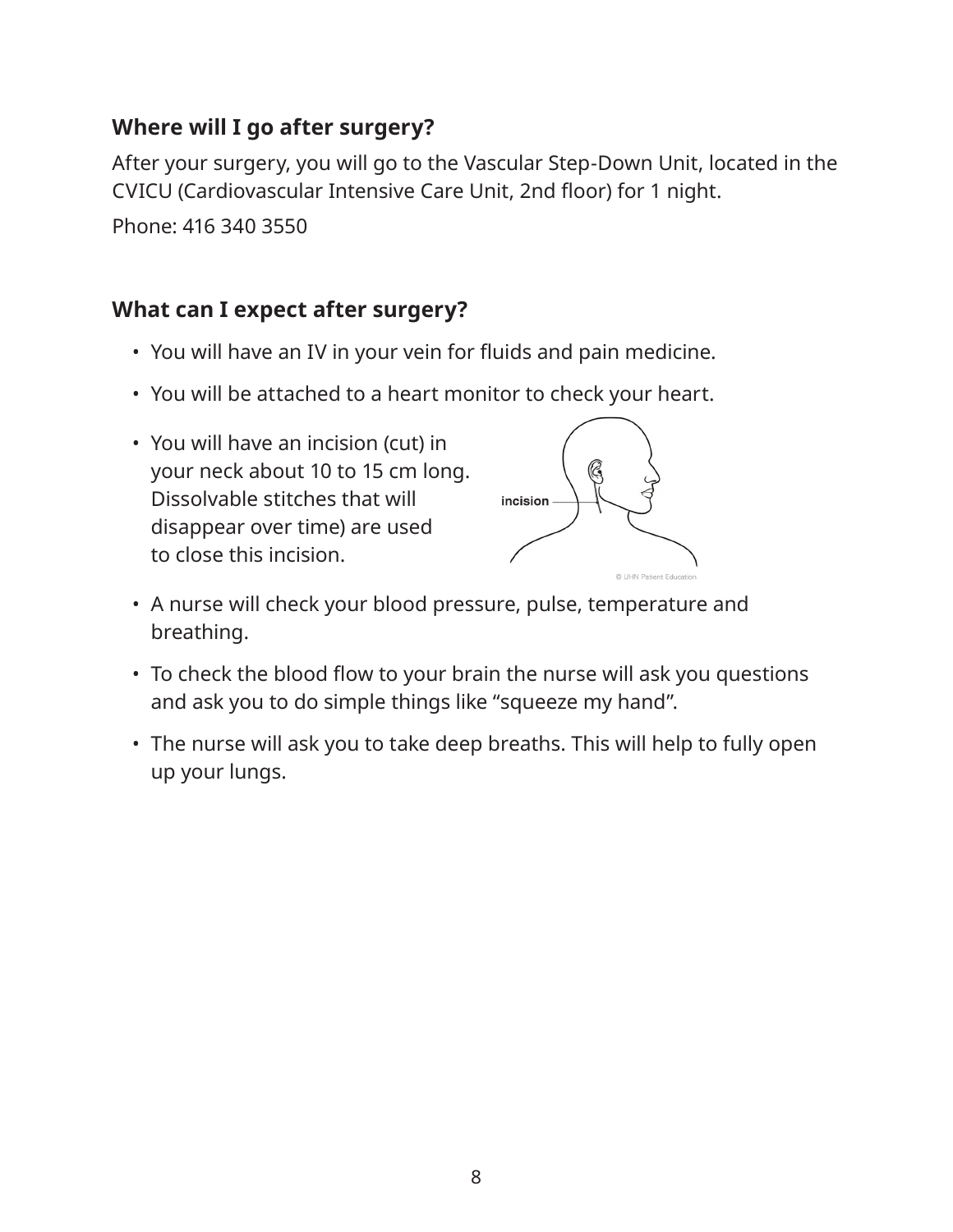# **Where will I go after surgery?**

After your surgery, you will go to the Vascular Step-Down Unit, located in the CVICU (Cardiovascular Intensive Care Unit, 2nd floor) for 1 night.

Phone: 416 340 3550

# **What can I expect after surgery?**

- You will have an IV in your vein for fluids and pain medicine.
- You will be attached to a heart monitor to check your heart.
- You will have an incision (cut) in your neck about 10 to 15 cm long. Dissolvable stitches that will disappear over time) are used to close this incision.



- A nurse will check your blood pressure, pulse, temperature and breathing.
- To check the blood flow to your brain the nurse will ask you questions and ask you to do simple things like "squeeze my hand".
- The nurse will ask you to take deep breaths. This will help to fully open up your lungs.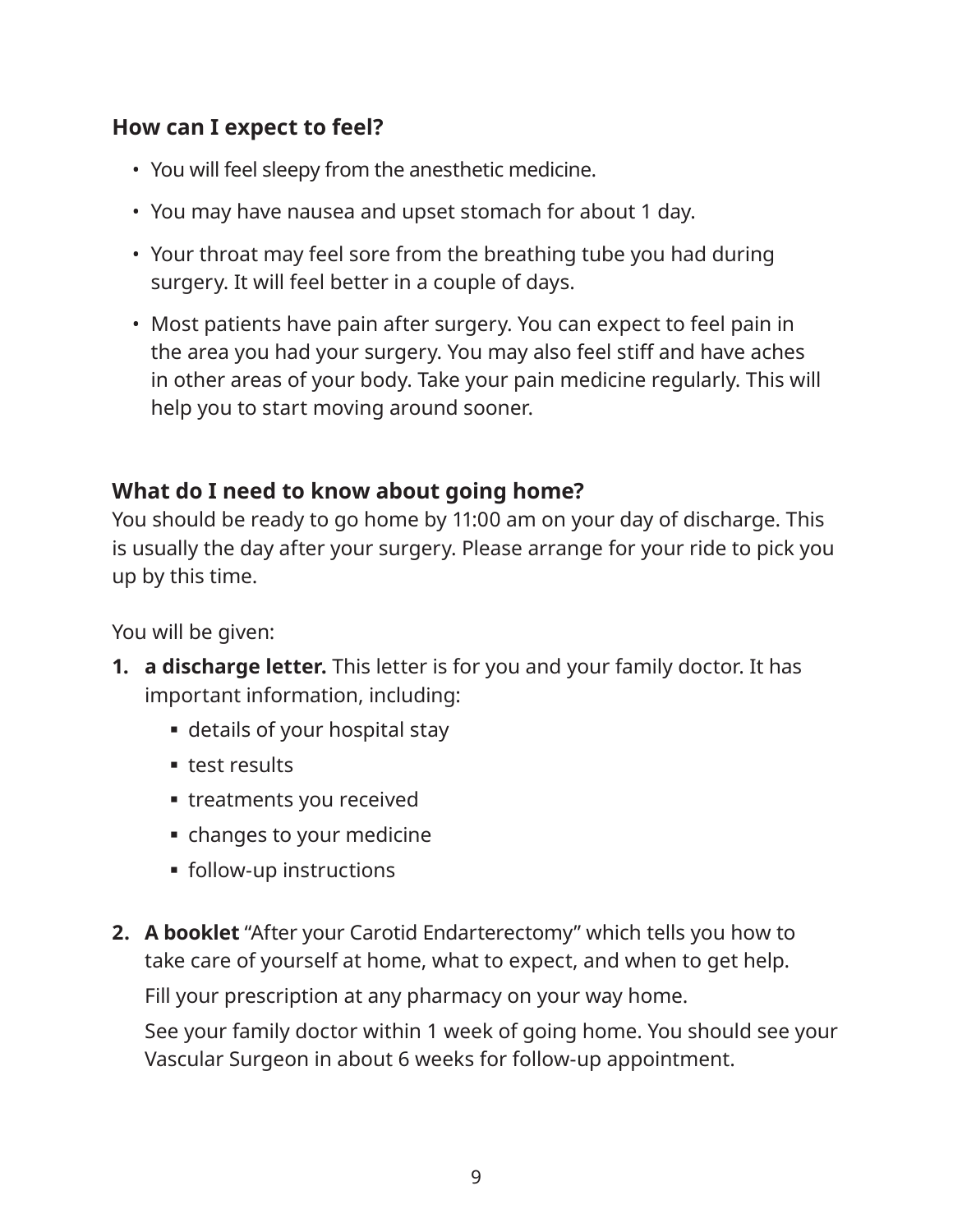## **How can I expect to feel?**

- You will feel sleepy from the anesthetic medicine.
- You may have nausea and upset stomach for about 1 day.
- Your throat may feel sore from the breathing tube you had during surgery. It will feel better in a couple of days.
- Most patients have pain after surgery. You can expect to feel pain in the area you had your surgery. You may also feel stiff and have aches in other areas of your body. Take your pain medicine regularly. This will help you to start moving around sooner.

## **What do I need to know about going home?**

You should be ready to go home by 11:00 am on your day of discharge. This is usually the day after your surgery. Please arrange for your ride to pick you up by this time.

You will be given:

- **1. a discharge letter.** This letter is for you and your family doctor. It has important information, including:
	- details of your hospital stay
	- **test results**
	- treatments you received
	- changes to your medicine
	- follow-up instructions
- **2. A booklet** "After your Carotid Endarterectomy" which tells you how to take care of yourself at home, what to expect, and when to get help.

Fill your prescription at any pharmacy on your way home.

See your family doctor within 1 week of going home. You should see your Vascular Surgeon in about 6 weeks for follow-up appointment.